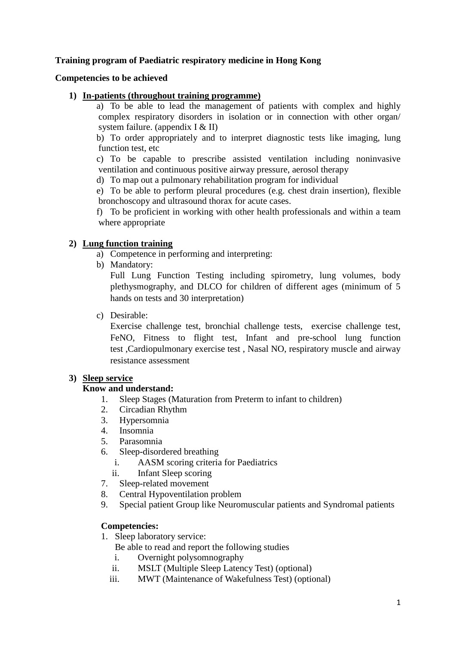# **Training program of Paediatric respiratory medicine in Hong Kong**

# **Competencies to be achieved**

# **1) In-patients (throughout training programme)**

a) To be able to lead the management of patients with complex and highly complex respiratory disorders in isolation or in connection with other organ/ system failure. (appendix I & II)

b) To order appropriately and to interpret diagnostic tests like imaging, lung function test, etc

c) To be capable to prescribe assisted ventilation including noninvasive ventilation and continuous positive airway pressure, aerosol therapy

d) To map out a pulmonary rehabilitation program for individual

e) To be able to perform pleural procedures (e.g. chest drain insertion), flexible bronchoscopy and ultrasound thorax for acute cases.

f) To be proficient in working with other health professionals and within a team where appropriate

# **2) Lung function training**

- a) Competence in performing and interpreting:
- b) Mandatory:

Full Lung Function Testing including spirometry, lung volumes, body plethysmography, and DLCO for children of different ages (minimum of 5 hands on tests and 30 interpretation)

c) Desirable:

Exercise challenge test, bronchial challenge tests, exercise challenge test, FeNO, Fitness to flight test, Infant and pre-school lung function test ,Cardiopulmonary exercise test , Nasal NO, respiratory muscle and airway resistance assessment

# **3) Sleep service**

# **Know and understand:**

- 1. Sleep Stages (Maturation from Preterm to infant to children)
- 2. Circadian Rhythm
- 3. Hypersomnia
- 4. Insomnia
- 5. Parasomnia
- 6. Sleep-disordered breathing
	- i. AASM scoring criteria for Paediatrics
	- ii. Infant Sleep scoring
- 7. Sleep-related movement
- 8. Central Hypoventilation problem
- 9. Special patient Group like Neuromuscular patients and Syndromal patients

# **Competencies:**

- 1. Sleep laboratory service:
	- Be able to read and report the following studies
	- i. Overnight polysomnography
	- ii. MSLT (Multiple Sleep Latency Test) (optional)
	- iii. MWT (Maintenance of Wakefulness Test) (optional)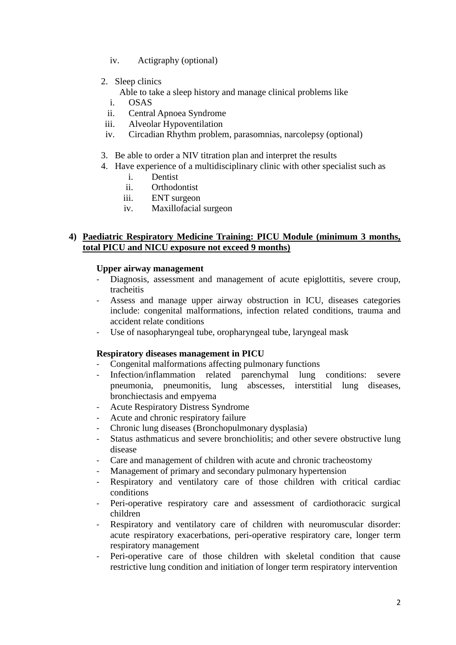- iv. Actigraphy (optional)
- 2. Sleep clinics

Able to take a sleep history and manage clinical problems like

- i. OSAS
- ii. Central Apnoea Syndrome
- iii. Alveolar Hypoventilation
- iv. Circadian Rhythm problem, parasomnias, narcolepsy (optional)
- 3. Be able to order a NIV titration plan and interpret the results
- 4. Have experience of a multidisciplinary clinic with other specialist such as
	- i. Dentist
	- ii. Orthodontist
	- iii. ENT surgeon
	- iv. Maxillofacial surgeon

# **4) Paediatric Respiratory Medicine Training: PICU Module (minimum 3 months, total PICU and NICU exposure not exceed 9 months)**

# **Upper airway management**

- Diagnosis, assessment and management of acute epiglottitis, severe croup, tracheitis
- Assess and manage upper airway obstruction in ICU, diseases categories include: congenital malformations, infection related conditions, trauma and accident relate conditions
- Use of nasopharyngeal tube, oropharyngeal tube, laryngeal mask

# **Respiratory diseases management in PICU**

- Congenital malformations affecting pulmonary functions
- Infection/inflammation related parenchymal lung conditions: severe pneumonia, pneumonitis, lung abscesses, interstitial lung diseases, bronchiectasis and empyema
- Acute Respiratory Distress Syndrome
- Acute and chronic respiratory failure
- Chronic lung diseases (Bronchopulmonary dysplasia)
- Status asthmaticus and severe bronchiolitis; and other severe obstructive lung disease
- Care and management of children with acute and chronic tracheostomy
- Management of primary and secondary pulmonary hypertension
- Respiratory and ventilatory care of those children with critical cardiac conditions
- Peri-operative respiratory care and assessment of cardiothoracic surgical children
- Respiratory and ventilatory care of children with neuromuscular disorder: acute respiratory exacerbations, peri-operative respiratory care, longer term respiratory management
- Peri-operative care of those children with skeletal condition that cause restrictive lung condition and initiation of longer term respiratory intervention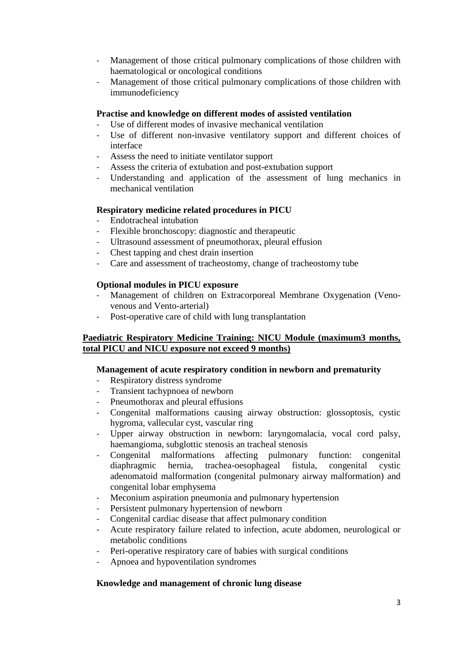- Management of those critical pulmonary complications of those children with haematological or oncological conditions
- Management of those critical pulmonary complications of those children with immunodeficiency

# **Practise and knowledge on different modes of assisted ventilation**

- Use of different modes of invasive mechanical ventilation
- Use of different non-invasive ventilatory support and different choices of interface
- Assess the need to initiate ventilator support
- Assess the criteria of extubation and post-extubation support
- Understanding and application of the assessment of lung mechanics in mechanical ventilation

# **Respiratory medicine related procedures in PICU**

- Endotracheal intubation
- Flexible bronchoscopy: diagnostic and therapeutic
- Ultrasound assessment of pneumothorax, pleural effusion
- Chest tapping and chest drain insertion
- Care and assessment of tracheostomy, change of tracheostomy tube

# **Optional modules in PICU exposure**

- Management of children on Extracorporeal Membrane Oxygenation (Venovenous and Vento-arterial)
- Post-operative care of child with lung transplantation

# **Paediatric Respiratory Medicine Training: NICU Module (maximum3 months, total PICU and NICU exposure not exceed 9 months)**

### **Management of acute respiratory condition in newborn and prematurity**

- Respiratory distress syndrome
- Transient tachypnoea of newborn
- Pneumothorax and pleural effusions
- Congenital malformations causing airway obstruction: glossoptosis, cystic hygroma, vallecular cyst, vascular ring
- Upper airway obstruction in newborn: laryngomalacia, vocal cord palsy, haemangioma, subglottic stenosis an tracheal stenosis
- Congenital malformations affecting pulmonary function: congenital diaphragmic hernia, trachea-oesophageal fistula, congenital cystic adenomatoid malformation (congenital pulmonary airway malformation) and congenital lobar emphysema
- Meconium aspiration pneumonia and pulmonary hypertension
- Persistent pulmonary hypertension of newborn
- Congenital cardiac disease that affect pulmonary condition
- Acute respiratory failure related to infection, acute abdomen, neurological or metabolic conditions
- Peri-operative respiratory care of babies with surgical conditions
- Apnoea and hypoventilation syndromes

### **Knowledge and management of chronic lung disease**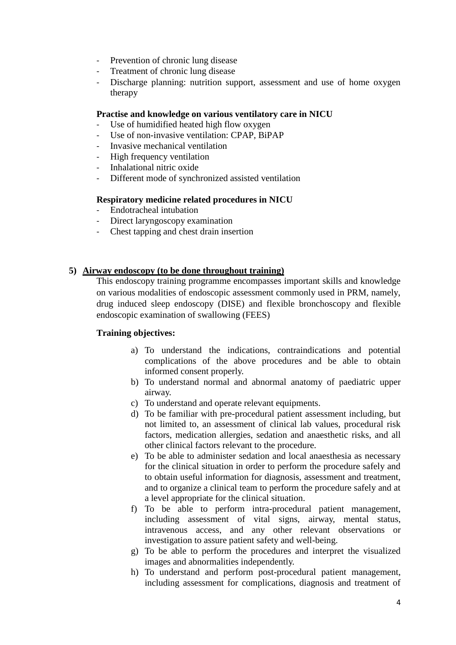- Prevention of chronic lung disease
- Treatment of chronic lung disease
- Discharge planning: nutrition support, assessment and use of home oxygen therapy

### **Practise and knowledge on various ventilatory care in NICU**

- Use of humidified heated high flow oxygen
- Use of non-invasive ventilation: CPAP, BiPAP
- Invasive mechanical ventilation
- High frequency ventilation
- Inhalational nitric oxide
- Different mode of synchronized assisted ventilation

# **Respiratory medicine related procedures in NICU**

- Endotracheal intubation
- Direct laryngoscopy examination
- Chest tapping and chest drain insertion

# **5) Airway endoscopy (to be done throughout training)**

This endoscopy training programme encompasses important skills and knowledge on various modalities of endoscopic assessment commonly used in PRM, namely, drug induced sleep endoscopy (DISE) and flexible bronchoscopy and flexible endoscopic examination of swallowing (FEES)

### **Training objectives:**

- a) To understand the indications, contraindications and potential complications of the above procedures and be able to obtain informed consent properly.
- b) To understand normal and abnormal anatomy of paediatric upper airway.
- c) To understand and operate relevant equipments.
- d) To be familiar with pre-procedural patient assessment including, but not limited to, an assessment of clinical lab values, procedural risk factors, medication allergies, sedation and anaesthetic risks, and all other clinical factors relevant to the procedure.
- e) To be able to administer sedation and local anaesthesia as necessary for the clinical situation in order to perform the procedure safely and to obtain useful information for diagnosis, assessment and treatment, and to organize a clinical team to perform the procedure safely and at a level appropriate for the clinical situation.
- f) To be able to perform intra-procedural patient management, including assessment of vital signs, airway, mental status, intravenous access, and any other relevant observations or investigation to assure patient safety and well-being.
- g) To be able to perform the procedures and interpret the visualized images and abnormalities independently.
- h) To understand and perform post-procedural patient management, including assessment for complications, diagnosis and treatment of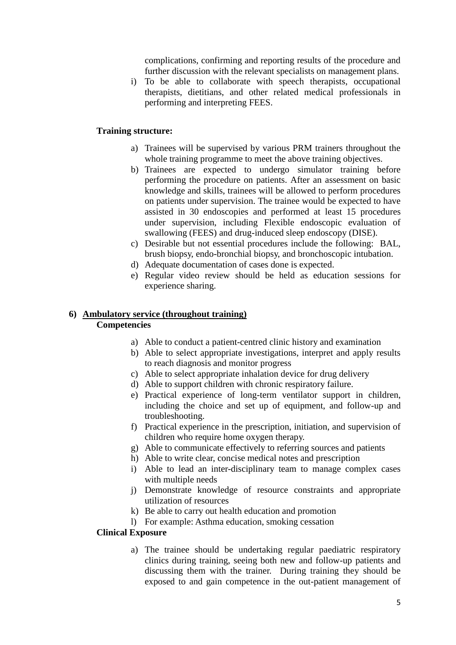complications, confirming and reporting results of the procedure and further discussion with the relevant specialists on management plans.

i) To be able to collaborate with speech therapists, occupational therapists, dietitians, and other related medical professionals in performing and interpreting FEES.

# **Training structure:**

- a) Trainees will be supervised by various PRM trainers throughout the whole training programme to meet the above training objectives.
- b) Trainees are expected to undergo simulator training before performing the procedure on patients. After an assessment on basic knowledge and skills, trainees will be allowed to perform procedures on patients under supervision. The trainee would be expected to have assisted in 30 endoscopies and performed at least 15 procedures under supervision, including Flexible endoscopic evaluation of swallowing (FEES) and drug-induced sleep endoscopy (DISE).
- c) Desirable but not essential procedures include the following: BAL, brush biopsy, endo-bronchial biopsy, and bronchoscopic intubation.
- d) Adequate documentation of cases done is expected.
- e) Regular video review should be held as education sessions for experience sharing.

# **6) Ambulatory service (throughout training) Competencies**

- a) Able to conduct a patient-centred clinic history and examination
- b) Able to select appropriate investigations, interpret and apply results to reach diagnosis and monitor progress
- c) Able to select appropriate inhalation device for drug delivery
- d) Able to support children with chronic respiratory failure.
- e) Practical experience of long-term ventilator support in children, including the choice and set up of equipment, and follow-up and troubleshooting.
- f) Practical experience in the prescription, initiation, and supervision of children who require home oxygen therapy.
- g) Able to communicate effectively to referring sources and patients
- h) Able to write clear, concise medical notes and prescription
- i) Able to lead an inter-disciplinary team to manage complex cases with multiple needs
- j) Demonstrate knowledge of resource constraints and appropriate utilization of resources
- k) Be able to carry out health education and promotion
- l) For example: Asthma education, smoking cessation

# **Clinical Exposure**

a) The trainee should be undertaking regular paediatric respiratory clinics during training, seeing both new and follow-up patients and discussing them with the trainer. During training they should be exposed to and gain competence in the out-patient management of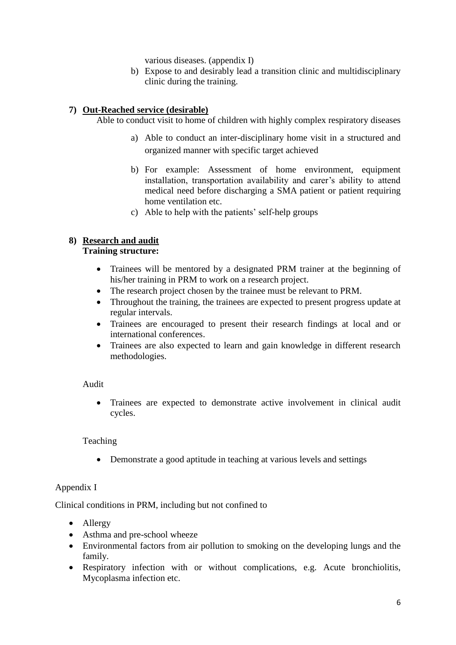various diseases. (appendix I)

b) Expose to and desirably lead a transition clinic and multidisciplinary clinic during the training.

# **7) Out-Reached service (desirable)**

Able to conduct visit to home of children with highly complex respiratory diseases

- a) Able to conduct an inter-disciplinary home visit in a structured and organized manner with specific target achieved
- b) For example: Assessment of home environment, equipment installation, transportation availability and carer's ability to attend medical need before discharging a SMA patient or patient requiring home ventilation etc.
- c) Able to help with the patients' self-help groups

# **8) Research and audit**

# **Training structure:**

- Trainees will be mentored by a designated PRM trainer at the beginning of his/her training in PRM to work on a research project.
- The research project chosen by the trainee must be relevant to PRM.
- Throughout the training, the trainees are expected to present progress update at regular intervals.
- Trainees are encouraged to present their research findings at local and or international conferences.
- Trainees are also expected to learn and gain knowledge in different research methodologies.

# Audit

 Trainees are expected to demonstrate active involvement in clinical audit cycles.

# Teaching

Demonstrate a good aptitude in teaching at various levels and settings

# Appendix I

Clinical conditions in PRM, including but not confined to

- Allergy
- Asthma and pre-school wheeze
- Environmental factors from air pollution to smoking on the developing lungs and the family.
- Respiratory infection with or without complications, e.g. Acute bronchiolitis, Mycoplasma infection etc.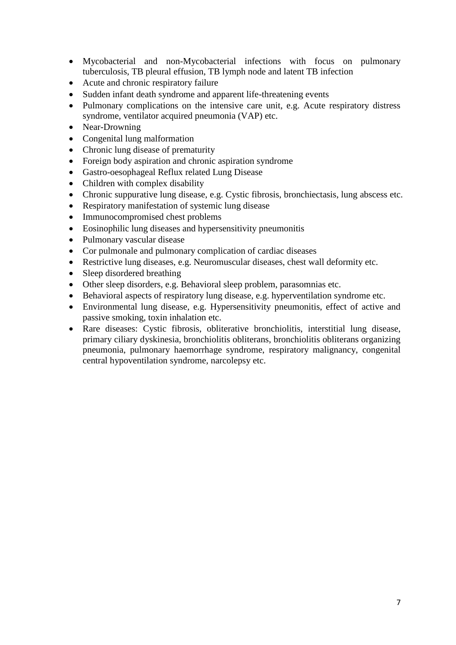- Mycobacterial and non-Mycobacterial infections with focus on pulmonary tuberculosis, TB pleural effusion, TB lymph node and latent TB infection
- Acute and chronic respiratory failure
- Sudden infant death syndrome and apparent life-threatening events
- Pulmonary complications on the intensive care unit, e.g. Acute respiratory distress syndrome, ventilator acquired pneumonia (VAP) etc.
- Near-Drowning
- Congenital lung malformation
- Chronic lung disease of prematurity
- Foreign body aspiration and chronic aspiration syndrome
- Gastro-oesophageal Reflux related Lung Disease
- Children with complex disability
- Chronic suppurative lung disease, e.g. Cystic fibrosis, bronchiectasis, lung abscess etc.
- Respiratory manifestation of systemic lung disease
- Immunocompromised chest problems
- Eosinophilic lung diseases and hypersensitivity pneumonitis
- Pulmonary vascular disease
- Cor pulmonale and pulmonary complication of cardiac diseases
- Restrictive lung diseases, e.g. Neuromuscular diseases, chest wall deformity etc.
- Sleep disordered breathing
- Other sleep disorders, e.g. Behavioral sleep problem, parasomnias etc.
- Behavioral aspects of respiratory lung disease, e.g. hyperventilation syndrome etc.
- Environmental lung disease, e.g. Hypersensitivity pneumonitis, effect of active and passive smoking, toxin inhalation etc.
- Rare diseases: Cystic fibrosis, obliterative bronchiolitis, interstitial lung disease, primary ciliary dyskinesia, bronchiolitis obliterans, bronchiolitis obliterans organizing pneumonia, pulmonary haemorrhage syndrome, respiratory malignancy, congenital central hypoventilation syndrome, narcolepsy etc.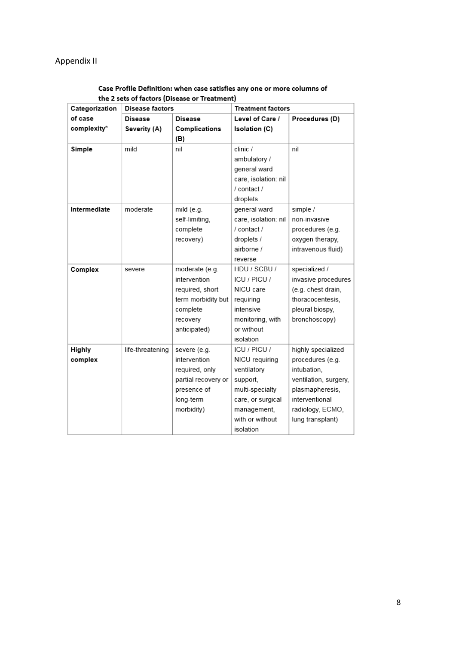# Appendix II

### Case Profile Definition: when case satisfies any one or more columns of the 2 sets of factors (Disease or Treatment)

| Categorization | <b>Disease factors</b> |                     | <b>Treatment factors</b> |                       |
|----------------|------------------------|---------------------|--------------------------|-----------------------|
| of case        | Disease                | <b>Disease</b>      | Level of Care /          | Procedures (D)        |
| complexity*    | Severity (A)           | Complications       | <b>Isolation (C)</b>     |                       |
|                |                        | (B)                 |                          |                       |
| Simple         | mild                   | nil                 | clinic /                 | nil                   |
|                |                        |                     | ambulatory /             |                       |
|                |                        |                     | general ward             |                       |
|                |                        |                     | care, isolation: nil     |                       |
|                |                        |                     | / contact /              |                       |
|                |                        |                     | droplets                 |                       |
| Intermediate   | moderate               | mild (e.g.          | general ward             | simple /              |
|                |                        | self-limiting,      | care, isolation: nil     | non-invasive          |
|                |                        | complete            | / contact /              | procedures (e.g.      |
|                |                        | recovery)           | droplets /               | oxygen therapy,       |
|                |                        |                     | airborne /               | intravenous fluid)    |
|                |                        |                     | reverse                  |                       |
| Complex        | severe                 | moderate (e.g.      | HDU / SCBU /             | specialized /         |
|                |                        | intervention        | ICU / PICU /             | invasive procedures   |
|                |                        | required, short     | NICU care                | (e.g. chest drain,    |
|                |                        | term morbidity but  | requiring                | thoracocentesis,      |
|                |                        | complete            | intensive                | pleural biospy,       |
|                |                        | recovery            | monitoring, with         | bronchoscopy)         |
|                |                        | anticipated)        | or without               |                       |
|                |                        |                     | isolation                |                       |
| Highly         | life-threatening       | severe (e.g.        | ICU / PICU /             | highly specialized    |
| complex        |                        | intervention        | NICU requiring           | procedures (e.g.      |
|                |                        | required, only      | ventilatory              | intubation,           |
|                |                        | partial recovery or | support,                 | ventilation, surgery, |
|                |                        | presence of         | multi-specialty          | plasmapheresis,       |
|                |                        | long-term           | care, or surgical        | interventional        |
|                |                        | morbidity)          | management,              | radiology, ECMO,      |
|                |                        |                     | with or without          | lung transplant)      |
|                |                        |                     | isolation                |                       |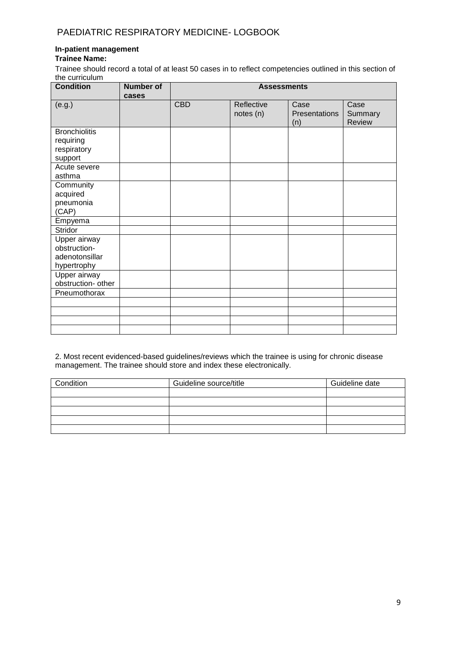## **In-patient management**

### **Trainee Name:**

Trainee should record a total of at least 50 cases in to reflect competencies outlined in this section of the curriculum

| <b>Condition</b>                                              | <b>Number of</b><br>cases |            | <b>Assessments</b>      |                              |                                  |
|---------------------------------------------------------------|---------------------------|------------|-------------------------|------------------------------|----------------------------------|
| (e.g.)                                                        |                           | <b>CBD</b> | Reflective<br>notes (n) | Case<br>Presentations<br>(n) | Case<br>Summary<br><b>Review</b> |
| <b>Bronchiolitis</b><br>requiring<br>respiratory<br>support   |                           |            |                         |                              |                                  |
| Acute severe<br>asthma                                        |                           |            |                         |                              |                                  |
| Community<br>acquired<br>pneumonia<br>(CAP)                   |                           |            |                         |                              |                                  |
| Empyema<br><b>Stridor</b>                                     |                           |            |                         |                              |                                  |
| Upper airway<br>obstruction-<br>adenotonsillar<br>hypertrophy |                           |            |                         |                              |                                  |
| Upper airway<br>obstruction- other                            |                           |            |                         |                              |                                  |
| Pneumothorax                                                  |                           |            |                         |                              |                                  |
|                                                               |                           |            |                         |                              |                                  |
|                                                               |                           |            |                         |                              |                                  |

2. Most recent evidenced-based guidelines/reviews which the trainee is using for chronic disease management. The trainee should store and index these electronically.

| Condition | Guideline source/title | Guideline date |
|-----------|------------------------|----------------|
|           |                        |                |
|           |                        |                |
|           |                        |                |
|           |                        |                |
|           |                        |                |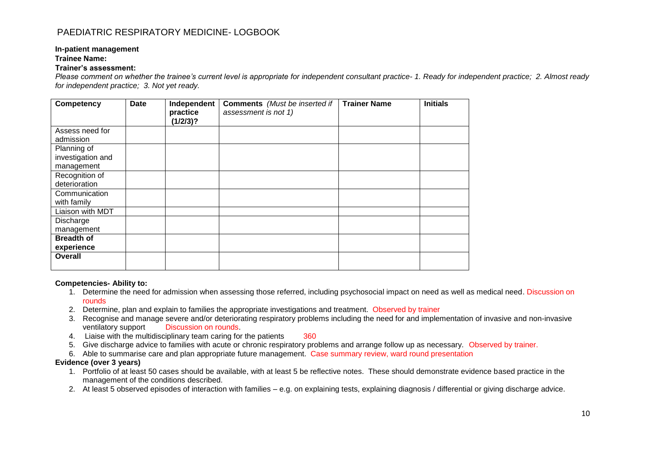#### **In-patient management**

#### **Trainee Name:**

#### **Trainer's assessment:**

*Please comment on whether the trainee's current level is appropriate for independent consultant practice- 1. Ready for independent practice; 2. Almost ready for independent practice; 3. Not yet ready.*

| Competency                                     | <b>Date</b> | Independent<br>practice<br>(1/2/3)? | <b>Comments</b> (Must be inserted if<br>assessment is not 1) | <b>Trainer Name</b> | <b>Initials</b> |
|------------------------------------------------|-------------|-------------------------------------|--------------------------------------------------------------|---------------------|-----------------|
| Assess need for<br>admission                   |             |                                     |                                                              |                     |                 |
| Planning of<br>investigation and<br>management |             |                                     |                                                              |                     |                 |
| Recognition of<br>deterioration                |             |                                     |                                                              |                     |                 |
| Communication<br>with family                   |             |                                     |                                                              |                     |                 |
| Liaison with MDT                               |             |                                     |                                                              |                     |                 |
| Discharge<br>management                        |             |                                     |                                                              |                     |                 |
| <b>Breadth of</b><br>experience                |             |                                     |                                                              |                     |                 |
| <b>Overall</b>                                 |             |                                     |                                                              |                     |                 |

#### **Competencies- Ability to:**

- 1. Determine the need for admission when assessing those referred, including psychosocial impact on need as well as medical need. Discussion on rounds
- 2. Determine, plan and explain to families the appropriate investigations and treatment. Observed by trainer
- 3. Recognise and manage severe and/or deteriorating respiratory problems including the need for and implementation of invasive and non-invasive ventilatory support Discussion on rounds.
- 4. Liaise with the multidisciplinary team caring for the patients 360
- 5. Give discharge advice to families with acute or chronic respiratory problems and arrange follow up as necessary. Observed by trainer.
- 6. Able to summarise care and plan appropriate future management. Case summary review, ward round presentation

#### **Evidence (over 3 years)**

- 1. Portfolio of at least 50 cases should be available, with at least 5 be reflective notes. These should demonstrate evidence based practice in the management of the conditions described.
- 2. At least 5 observed episodes of interaction with families e.g. on explaining tests, explaining diagnosis / differential or giving discharge advice.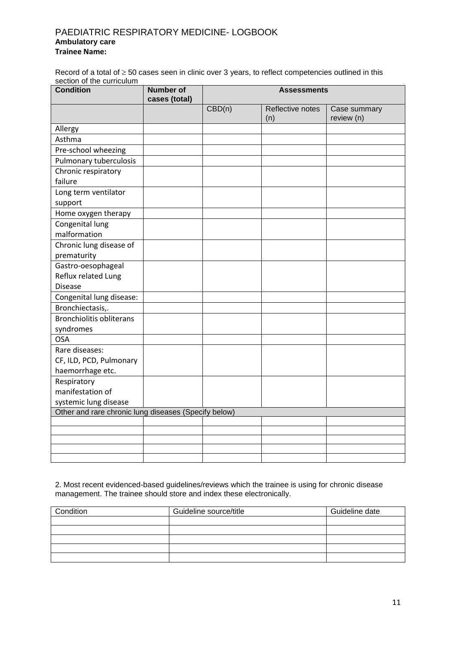### PAEDIATRIC RESPIRATORY MEDICINE- LOGBOOK **Ambulatory care Trainee Name:**

Record of a total of  $\geq$  50 cases seen in clinic over 3 years, to reflect competencies outlined in this section of the curriculum

| <b>Condition</b>                                     | <b>Number of</b><br>cases (total) |        | <b>Assessments</b>      |                            |
|------------------------------------------------------|-----------------------------------|--------|-------------------------|----------------------------|
|                                                      |                                   | CBD(n) | Reflective notes<br>(n) | Case summary<br>review (n) |
| Allergy                                              |                                   |        |                         |                            |
| Asthma                                               |                                   |        |                         |                            |
| Pre-school wheezing                                  |                                   |        |                         |                            |
| Pulmonary tuberculosis                               |                                   |        |                         |                            |
| Chronic respiratory                                  |                                   |        |                         |                            |
| failure                                              |                                   |        |                         |                            |
| Long term ventilator                                 |                                   |        |                         |                            |
| support                                              |                                   |        |                         |                            |
| Home oxygen therapy                                  |                                   |        |                         |                            |
| Congenital lung                                      |                                   |        |                         |                            |
| malformation                                         |                                   |        |                         |                            |
| Chronic lung disease of                              |                                   |        |                         |                            |
| prematurity                                          |                                   |        |                         |                            |
| Gastro-oesophageal                                   |                                   |        |                         |                            |
| Reflux related Lung                                  |                                   |        |                         |                            |
| <b>Disease</b>                                       |                                   |        |                         |                            |
| Congenital lung disease:                             |                                   |        |                         |                            |
| Bronchiectasis,.                                     |                                   |        |                         |                            |
| <b>Bronchiolitis obliterans</b>                      |                                   |        |                         |                            |
| syndromes                                            |                                   |        |                         |                            |
| <b>OSA</b>                                           |                                   |        |                         |                            |
| Rare diseases:                                       |                                   |        |                         |                            |
| CF, ILD, PCD, Pulmonary                              |                                   |        |                         |                            |
| haemorrhage etc.                                     |                                   |        |                         |                            |
| Respiratory                                          |                                   |        |                         |                            |
| manifestation of                                     |                                   |        |                         |                            |
| systemic lung disease                                |                                   |        |                         |                            |
| Other and rare chronic lung diseases (Specify below) |                                   |        |                         |                            |
|                                                      |                                   |        |                         |                            |
|                                                      |                                   |        |                         |                            |
|                                                      |                                   |        |                         |                            |
|                                                      |                                   |        |                         |                            |

2. Most recent evidenced-based guidelines/reviews which the trainee is using for chronic disease management. The trainee should store and index these electronically.

| Condition | Guideline source/title | Guideline date |
|-----------|------------------------|----------------|
|           |                        |                |
|           |                        |                |
|           |                        |                |
|           |                        |                |
|           |                        |                |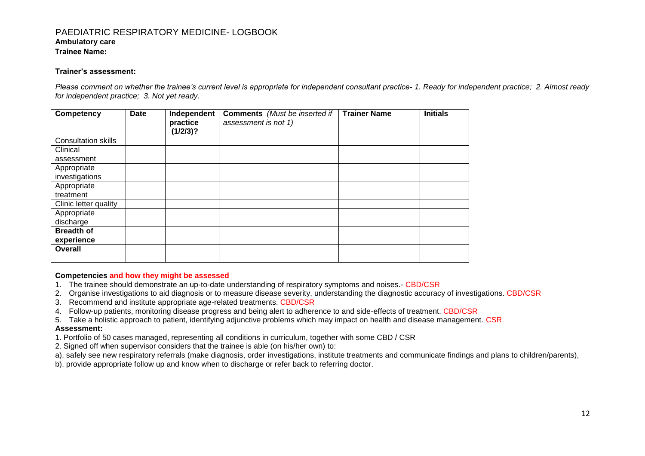#### **Ambulatory care**

**Trainee Name:** 

#### **Trainer's assessment:**

*Please comment on whether the trainee's current level is appropriate for independent consultant practice- 1. Ready for independent practice; 2. Almost ready for independent practice; 3. Not yet ready.*

| <b>Competency</b>          | Date | Independent<br>practice<br>(1/2/3)? | <b>Comments</b> (Must be inserted if<br>assessment is not 1) | <b>Trainer Name</b> | <b>Initials</b> |
|----------------------------|------|-------------------------------------|--------------------------------------------------------------|---------------------|-----------------|
| <b>Consultation skills</b> |      |                                     |                                                              |                     |                 |
| Clinical                   |      |                                     |                                                              |                     |                 |
| assessment                 |      |                                     |                                                              |                     |                 |
| Appropriate                |      |                                     |                                                              |                     |                 |
| investigations             |      |                                     |                                                              |                     |                 |
| Appropriate                |      |                                     |                                                              |                     |                 |
| treatment                  |      |                                     |                                                              |                     |                 |
| Clinic letter quality      |      |                                     |                                                              |                     |                 |
| Appropriate                |      |                                     |                                                              |                     |                 |
| discharge                  |      |                                     |                                                              |                     |                 |
| <b>Breadth of</b>          |      |                                     |                                                              |                     |                 |
| experience                 |      |                                     |                                                              |                     |                 |
| Overall                    |      |                                     |                                                              |                     |                 |

#### **Competencies and how they might be assessed**

- 1. The trainee should demonstrate an up-to-date understanding of respiratory symptoms and noises.- CBD/CSR
- 2. Organise investigations to aid diagnosis or to measure disease severity, understanding the diagnostic accuracy of investigations. CBD/CSR
- 3. Recommend and institute appropriate age-related treatments. CBD/CSR
- 4. Follow-up patients, monitoring disease progress and being alert to adherence to and side-effects of treatment. CBD/CSR
- 5. Take a holistic approach to patient, identifying adjunctive problems which may impact on health and disease management. CSR **Assessment:**
- 1. Portfolio of 50 cases managed, representing all conditions in curriculum, together with some CBD / CSR
- 2. Signed off when supervisor considers that the trainee is able (on his/her own) to:
- a). safely see new respiratory referrals (make diagnosis, order investigations, institute treatments and communicate findings and plans to children/parents),
- b). provide appropriate follow up and know when to discharge or refer back to referring doctor.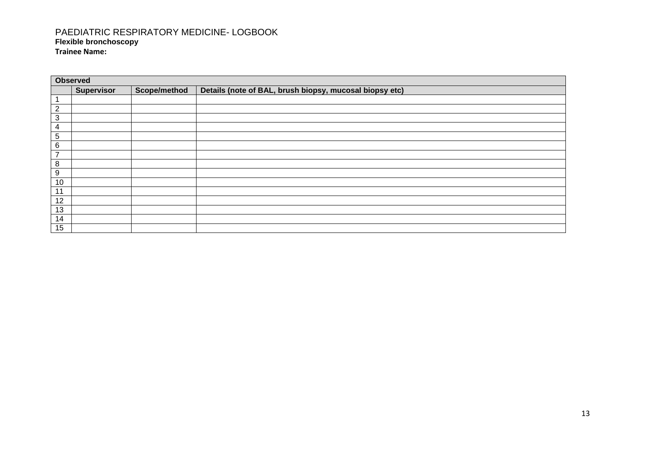# PAEDIATRIC RESPIRATORY MEDICINE- LOGBOOK **Flexible bronchoscopy**

**Trainee Name:** 

|              | <b>Observed</b>   |              |                                                         |  |  |  |  |
|--------------|-------------------|--------------|---------------------------------------------------------|--|--|--|--|
|              | <b>Supervisor</b> | Scope/method | Details (note of BAL, brush biopsy, mucosal biopsy etc) |  |  |  |  |
|              |                   |              |                                                         |  |  |  |  |
| $\mathbf{2}$ |                   |              |                                                         |  |  |  |  |
| 3            |                   |              |                                                         |  |  |  |  |
| 4            |                   |              |                                                         |  |  |  |  |
| 5            |                   |              |                                                         |  |  |  |  |
| 6            |                   |              |                                                         |  |  |  |  |
| ⇁            |                   |              |                                                         |  |  |  |  |
| 8            |                   |              |                                                         |  |  |  |  |
| 9            |                   |              |                                                         |  |  |  |  |
| 10           |                   |              |                                                         |  |  |  |  |
| 11           |                   |              |                                                         |  |  |  |  |
| 12           |                   |              |                                                         |  |  |  |  |
| 13           |                   |              |                                                         |  |  |  |  |
| 14           |                   |              |                                                         |  |  |  |  |
| 15           |                   |              |                                                         |  |  |  |  |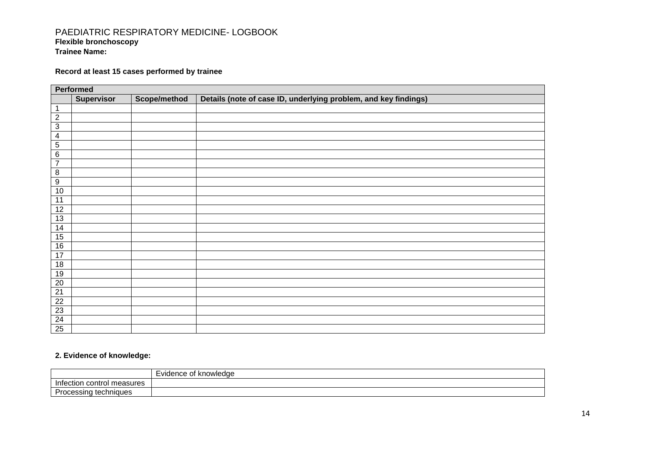### PAEDIATRIC RESPIRATORY MEDICINE- LOGBOOK **Flexible bronchoscopy Trainee Name:**

# **Record at least 15 cases performed by trainee**

|                         | Performed         |              |                                                                 |
|-------------------------|-------------------|--------------|-----------------------------------------------------------------|
|                         | <b>Supervisor</b> | Scope/method | Details (note of case ID, underlying problem, and key findings) |
|                         |                   |              |                                                                 |
| $\overline{2}$          |                   |              |                                                                 |
| $\overline{3}$          |                   |              |                                                                 |
| $\overline{\mathbf{4}}$ |                   |              |                                                                 |
| $\overline{5}$          |                   |              |                                                                 |
| $\overline{6}$          |                   |              |                                                                 |
| $\overline{7}$          |                   |              |                                                                 |
| $\overline{\mathbf{8}}$ |                   |              |                                                                 |
| $\overline{9}$          |                   |              |                                                                 |
| 10                      |                   |              |                                                                 |
| 11                      |                   |              |                                                                 |
| 12                      |                   |              |                                                                 |
| 13                      |                   |              |                                                                 |
| 14                      |                   |              |                                                                 |
| 15                      |                   |              |                                                                 |
| $16\,$                  |                   |              |                                                                 |
| 17                      |                   |              |                                                                 |
| 18                      |                   |              |                                                                 |
| 19                      |                   |              |                                                                 |
| 20                      |                   |              |                                                                 |
| $\overline{21}$         |                   |              |                                                                 |
| 22                      |                   |              |                                                                 |
| $\overline{23}$         |                   |              |                                                                 |
| $\overline{24}$         |                   |              |                                                                 |
| 25                      |                   |              |                                                                 |

# **2. Evidence of knowledge:**

|                                                           | knowledge<br>-vidence of |
|-----------------------------------------------------------|--------------------------|
| measures<br><b>Infec</b><br>control ri<br>7 H<br>$\cdots$ |                          |
| -<br>techniques<br>essina:                                |                          |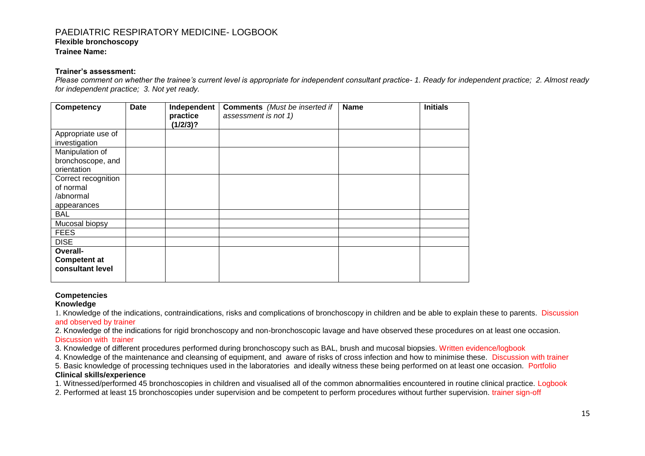**Flexible bronchoscopy**

**Trainee Name:** 

#### **Trainer's assessment:**

*Please comment on whether the trainee's current level is appropriate for independent consultant practice- 1. Ready for independent practice; 2. Almost ready for independent practice; 3. Not yet ready.*

| <b>Competency</b>                                            | Date | Independent<br>practice<br>(1/2/3)? | <b>Comments</b> (Must be inserted if<br>assessment is not 1) | <b>Name</b> | <b>Initials</b> |
|--------------------------------------------------------------|------|-------------------------------------|--------------------------------------------------------------|-------------|-----------------|
| Appropriate use of<br>investigation                          |      |                                     |                                                              |             |                 |
| Manipulation of<br>bronchoscope, and<br>orientation          |      |                                     |                                                              |             |                 |
| Correct recognition<br>of normal<br>/abnormal<br>appearances |      |                                     |                                                              |             |                 |
| BAL<br>Mucosal biopsy                                        |      |                                     |                                                              |             |                 |
| <b>FEES</b><br><b>DISE</b>                                   |      |                                     |                                                              |             |                 |
| Overall-<br><b>Competent at</b><br>consultant level          |      |                                     |                                                              |             |                 |

#### **Competencies**

#### **Knowledge**

1. Knowledge of the indications, contraindications, risks and complications of bronchoscopy in children and be able to explain these to parents. Discussion and observed by trainer

2. Knowledge of the indications for rigid bronchoscopy and non-bronchoscopic lavage and have observed these procedures on at least one occasion. Discussion with trainer

3. Knowledge of different procedures performed during bronchoscopy such as BAL, brush and mucosal biopsies. Written evidence/logbook

4. Knowledge of the maintenance and cleansing of equipment, and aware of risks of cross infection and how to minimise these. Discussion with trainer

5. Basic knowledge of processing techniques used in the laboratories and ideally witness these being performed on at least one occasion. Portfolio **Clinical skills/experience**

1. Witnessed/performed 45 bronchoscopies in children and visualised all of the common abnormalities encountered in routine clinical practice. Logbook

2. Performed at least 15 bronchoscopies under supervision and be competent to perform procedures without further supervision. trainer sign-off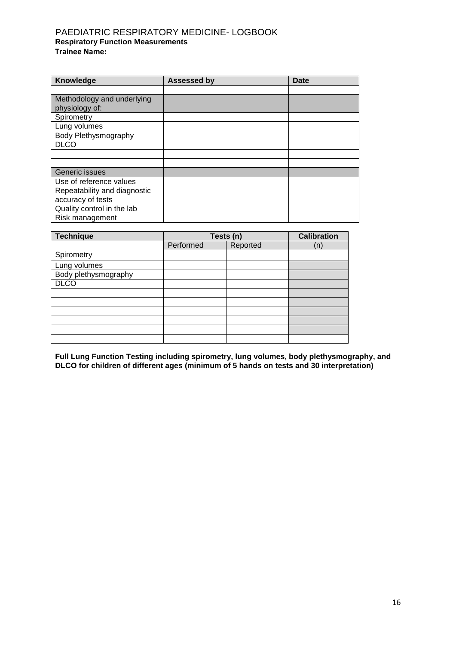# PAEDIATRIC RESPIRATORY MEDICINE- LOGBOOK **Respiratory Function Measurements Trainee Name:**

| Knowledge                    | <b>Assessed by</b> | Date |
|------------------------------|--------------------|------|
|                              |                    |      |
| Methodology and underlying   |                    |      |
| physiology of:               |                    |      |
| Spirometry                   |                    |      |
| Lung volumes                 |                    |      |
| Body Plethysmography         |                    |      |
| <b>DLCO</b>                  |                    |      |
|                              |                    |      |
|                              |                    |      |
| Generic issues               |                    |      |
| Use of reference values      |                    |      |
| Repeatability and diagnostic |                    |      |
| accuracy of tests            |                    |      |
| Quality control in the lab   |                    |      |
| Risk management              |                    |      |

| <b>Technique</b>     | Tests (n) | <b>Calibration</b> |    |
|----------------------|-----------|--------------------|----|
|                      | Performed | Reported           | (n |
| Spirometry           |           |                    |    |
| Lung volumes         |           |                    |    |
| Body plethysmography |           |                    |    |
| <b>DLCO</b>          |           |                    |    |
|                      |           |                    |    |
|                      |           |                    |    |
|                      |           |                    |    |
|                      |           |                    |    |
|                      |           |                    |    |
|                      |           |                    |    |

**Full Lung Function Testing including spirometry, lung volumes, body plethysmography, and DLCO for children of different ages (minimum of 5 hands on tests and 30 interpretation)**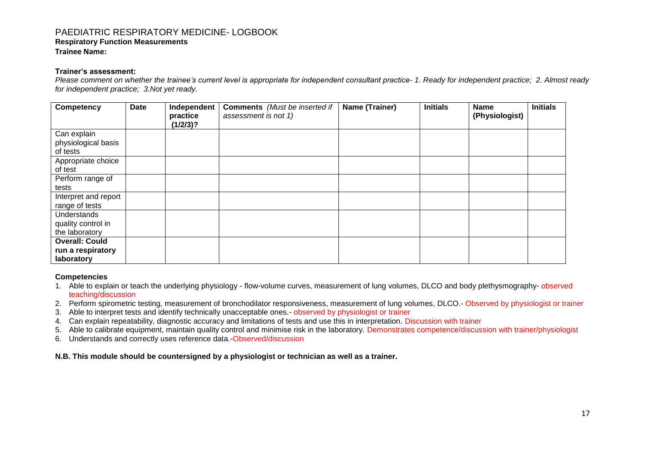### PAEDIATRIC RESPIRATORY MEDICINE- LOGBOOK **Respiratory Function Measurements**

**Trainee Name:** 

#### **Trainer's assessment:**

*Please comment on whether the trainee's current level is appropriate for independent consultant practice- 1. Ready for independent practice; 2. Almost ready for independent practice; 3.Not yet ready.*

| Competency                                               | <b>Date</b> | Independent<br>practice<br>(1/2/3)? | <b>Comments</b> (Must be inserted if<br>assessment is not 1) | Name (Trainer) | <b>Initials</b> | <b>Name</b><br>(Physiologist) | <b>Initials</b> |
|----------------------------------------------------------|-------------|-------------------------------------|--------------------------------------------------------------|----------------|-----------------|-------------------------------|-----------------|
| Can explain<br>physiological basis<br>of tests           |             |                                     |                                                              |                |                 |                               |                 |
| Appropriate choice<br>of test                            |             |                                     |                                                              |                |                 |                               |                 |
| Perform range of<br>tests                                |             |                                     |                                                              |                |                 |                               |                 |
| Interpret and report<br>range of tests                   |             |                                     |                                                              |                |                 |                               |                 |
| Understands<br>quality control in<br>the laboratory      |             |                                     |                                                              |                |                 |                               |                 |
| <b>Overall: Could</b><br>run a respiratory<br>laboratory |             |                                     |                                                              |                |                 |                               |                 |

#### **Competencies**

- 1. Able to explain or teach the underlying physiology flow-volume curves, measurement of lung volumes, DLCO and body plethysmography- observed teaching/discussion
- 2. Perform spirometric testing, measurement of bronchodilator responsiveness, measurement of lung volumes, DLCO.- Observed by physiologist or trainer
- 3. Able to interpret tests and identify technically unacceptable ones.- observed by physiologist or trainer
- 4. Can explain repeatability, diagnostic accuracy and limitations of tests and use this in interpretation. Discussion with trainer
- 5. Able to calibrate equipment, maintain quality control and minimise risk in the laboratory. Demonstrates competence/discussion with trainer/physiologist
- 6. Understands and correctly uses reference data.-Observed/discussion

**N.B. This module should be countersigned by a physiologist or technician as well as a trainer.**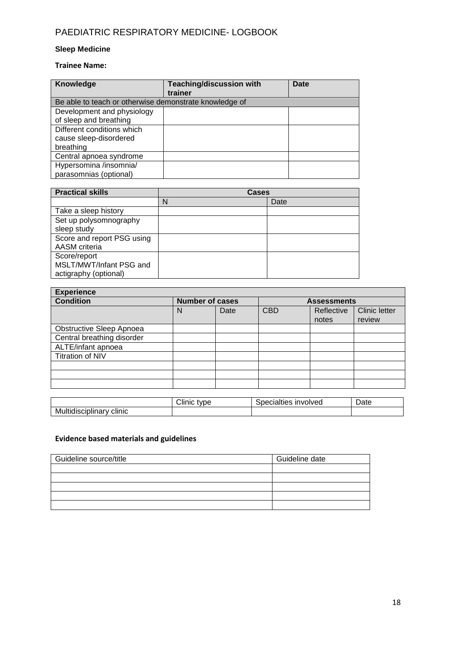# **Sleep Medicine**

### **Trainee Name:**

| Knowledge                                              | <b>Teaching/discussion with</b> | Date |
|--------------------------------------------------------|---------------------------------|------|
|                                                        | trainer                         |      |
| Be able to teach or otherwise demonstrate knowledge of |                                 |      |
| Development and physiology                             |                                 |      |
| of sleep and breathing                                 |                                 |      |
| Different conditions which                             |                                 |      |
| cause sleep-disordered                                 |                                 |      |
| breathing                                              |                                 |      |
| Central apnoea syndrome                                |                                 |      |
| Hypersomina /insomnia/                                 |                                 |      |
| parasomnias (optional)                                 |                                 |      |

| <b>Practical skills</b>    | Cases |      |  |
|----------------------------|-------|------|--|
|                            | N     | Date |  |
| Take a sleep history       |       |      |  |
| Set up polysomnography     |       |      |  |
| sleep study                |       |      |  |
| Score and report PSG using |       |      |  |
| AASM criteria              |       |      |  |
| Score/report               |       |      |  |
| MSLT/MWT/Infant PSG and    |       |      |  |
| actigraphy (optional)      |       |      |  |

| <b>Experience</b>          |                        |  |                    |            |                      |
|----------------------------|------------------------|--|--------------------|------------|----------------------|
| <b>Condition</b>           | <b>Number of cases</b> |  | <b>Assessments</b> |            |                      |
|                            | Date<br>N              |  | <b>CBD</b>         | Reflective | <b>Clinic letter</b> |
|                            |                        |  |                    | notes      | review               |
| Obstructive Sleep Apnoea   |                        |  |                    |            |                      |
| Central breathing disorder |                        |  |                    |            |                      |
| ALTE/infant apnoea         |                        |  |                    |            |                      |
| <b>Titration of NIV</b>    |                        |  |                    |            |                      |
|                            |                        |  |                    |            |                      |
|                            |                        |  |                    |            |                      |
|                            |                        |  |                    |            |                      |

|                                       | $\sim$<br>type<br>ıırت<br>וו | involved<br>ecialties<br>ച്ചല | -<br>- Jate |
|---------------------------------------|------------------------------|-------------------------------|-------------|
| <br>-Mult<br>clinic<br>tiqisciplinary |                              |                               |             |

# **Evidence based materials and guidelines**

| Guideline source/title | Guideline date |
|------------------------|----------------|
|                        |                |
|                        |                |
|                        |                |
|                        |                |
|                        |                |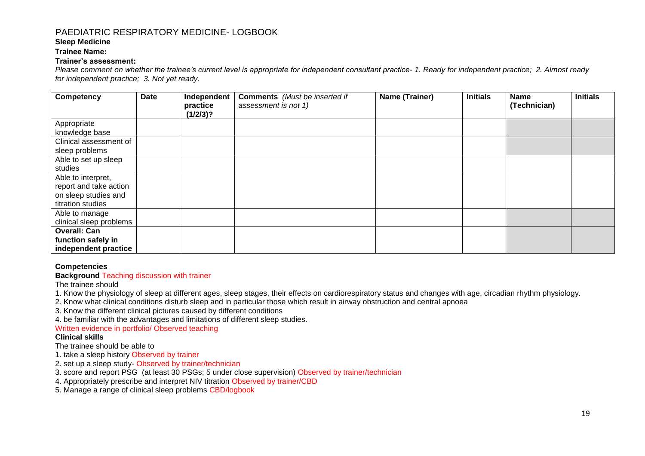### **Sleep Medicine**

**Trainee Name:** 

#### **Trainer's assessment:**

*Please comment on whether the trainee's current level is appropriate for independent consultant practice- 1. Ready for independent practice; 2. Almost ready for independent practice; 3. Not yet ready.*

| Competency              | <b>Date</b> | Independent<br>practice | <b>Comments</b> (Must be inserted if<br>assessment is not 1) | Name (Trainer) | <b>Initials</b> | <b>Name</b><br>(Technician) | <b>Initials</b> |
|-------------------------|-------------|-------------------------|--------------------------------------------------------------|----------------|-----------------|-----------------------------|-----------------|
|                         |             | (1/2/3)?                |                                                              |                |                 |                             |                 |
| Appropriate             |             |                         |                                                              |                |                 |                             |                 |
| knowledge base          |             |                         |                                                              |                |                 |                             |                 |
| Clinical assessment of  |             |                         |                                                              |                |                 |                             |                 |
| sleep problems          |             |                         |                                                              |                |                 |                             |                 |
| Able to set up sleep    |             |                         |                                                              |                |                 |                             |                 |
| studies                 |             |                         |                                                              |                |                 |                             |                 |
| Able to interpret,      |             |                         |                                                              |                |                 |                             |                 |
| report and take action  |             |                         |                                                              |                |                 |                             |                 |
| on sleep studies and    |             |                         |                                                              |                |                 |                             |                 |
| titration studies       |             |                         |                                                              |                |                 |                             |                 |
| Able to manage          |             |                         |                                                              |                |                 |                             |                 |
| clinical sleep problems |             |                         |                                                              |                |                 |                             |                 |
| <b>Overall: Can</b>     |             |                         |                                                              |                |                 |                             |                 |
| function safely in      |             |                         |                                                              |                |                 |                             |                 |
| independent practice    |             |                         |                                                              |                |                 |                             |                 |

#### **Competencies**

**Background** Teaching discussion with trainer

The trainee should

1. Know the physiology of sleep at different ages, sleep stages, their effects on cardiorespiratory status and changes with age, circadian rhythm physiology.

2. Know what clinical conditions disturb sleep and in particular those which result in airway obstruction and central apnoea

3. Know the different clinical pictures caused by different conditions

4. be familiar with the advantages and limitations of different sleep studies.

Written evidence in portfolio/ Observed teaching

#### **Clinical skills**

The trainee should be able to

- 1. take a sleep history Observed by trainer
- 2. set up a sleep study- Observed by trainer/technician
- 3. score and report PSG (at least 30 PSGs; 5 under close supervision) Observed by trainer/technician
- 4. Appropriately prescribe and interpret NIV titration Observed by trainer/CBD
- 5. Manage a range of clinical sleep problems CBD/logbook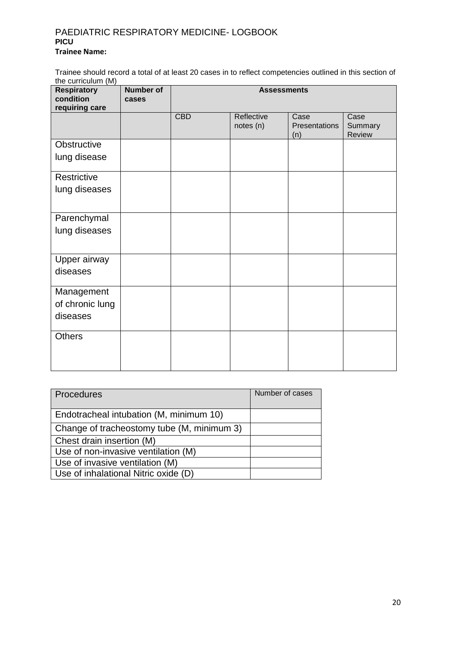# PAEDIATRIC RESPIRATORY MEDICINE- LOGBOOK **PICU Trainee Name:**

Trainee should record a total of at least 20 cases in to reflect competencies outlined in this section of the curriculum (M)

| <b>Respiratory</b><br>condition<br>requiring care | <b>Number of</b><br>cases | <b>Assessments</b> |                         |                              |                           |
|---------------------------------------------------|---------------------------|--------------------|-------------------------|------------------------------|---------------------------|
|                                                   |                           | <b>CBD</b>         | Reflective<br>notes (n) | Case<br>Presentations<br>(n) | Case<br>Summary<br>Review |
| Obstructive                                       |                           |                    |                         |                              |                           |
| lung disease                                      |                           |                    |                         |                              |                           |
| Restrictive                                       |                           |                    |                         |                              |                           |
| lung diseases                                     |                           |                    |                         |                              |                           |
| Parenchymal                                       |                           |                    |                         |                              |                           |
| lung diseases                                     |                           |                    |                         |                              |                           |
| Upper airway                                      |                           |                    |                         |                              |                           |
| diseases                                          |                           |                    |                         |                              |                           |
| Management                                        |                           |                    |                         |                              |                           |
| of chronic lung                                   |                           |                    |                         |                              |                           |
| diseases                                          |                           |                    |                         |                              |                           |
| <b>Others</b>                                     |                           |                    |                         |                              |                           |

| Procedures                                 | Number of cases |
|--------------------------------------------|-----------------|
|                                            |                 |
|                                            |                 |
| Endotracheal intubation (M, minimum 10)    |                 |
|                                            |                 |
| Change of tracheostomy tube (M, minimum 3) |                 |
|                                            |                 |
| Chest drain insertion (M)                  |                 |
|                                            |                 |
| Use of non-invasive ventilation (M)        |                 |
| Use of invasive ventilation (M)            |                 |
|                                            |                 |
| Use of inhalational Nitric oxide (D)       |                 |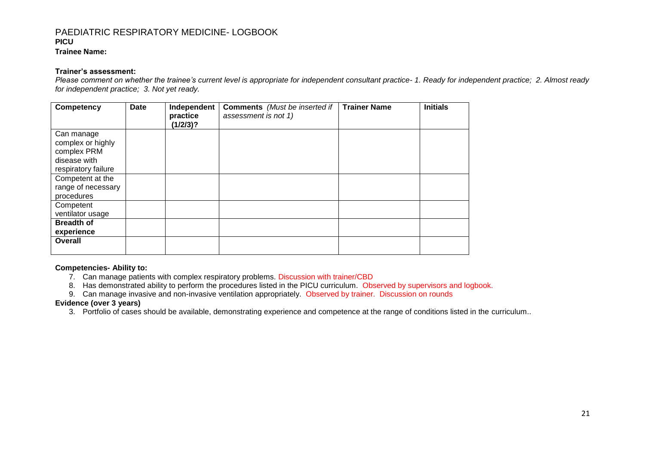### **Trainee Name:**

#### **Trainer's assessment:**

*Please comment on whether the trainee's current level is appropriate for independent consultant practice- 1. Ready for independent practice; 2. Almost ready for independent practice; 3. Not yet ready.*

| Competency                                                                            | Date | Independent<br>practice<br>(1/2/3)? | <b>Comments</b> (Must be inserted if<br>assessment is not 1) | <b>Trainer Name</b> | <b>Initials</b> |
|---------------------------------------------------------------------------------------|------|-------------------------------------|--------------------------------------------------------------|---------------------|-----------------|
| Can manage<br>complex or highly<br>complex PRM<br>disease with<br>respiratory failure |      |                                     |                                                              |                     |                 |
| Competent at the<br>range of necessary<br>procedures                                  |      |                                     |                                                              |                     |                 |
| Competent<br>ventilator usage                                                         |      |                                     |                                                              |                     |                 |
| <b>Breadth of</b><br>experience                                                       |      |                                     |                                                              |                     |                 |
| Overall                                                                               |      |                                     |                                                              |                     |                 |

#### **Competencies- Ability to:**

- 7. Can manage patients with complex respiratory problems. Discussion with trainer/CBD
- 8. Has demonstrated ability to perform the procedures listed in the PICU curriculum. Observed by supervisors and logbook.
- 9. Can manage invasive and non-invasive ventilation appropriately. Observed by trainer. Discussion on rounds

#### **Evidence (over 3 years)**

3. Portfolio of cases should be available, demonstrating experience and competence at the range of conditions listed in the curriculum..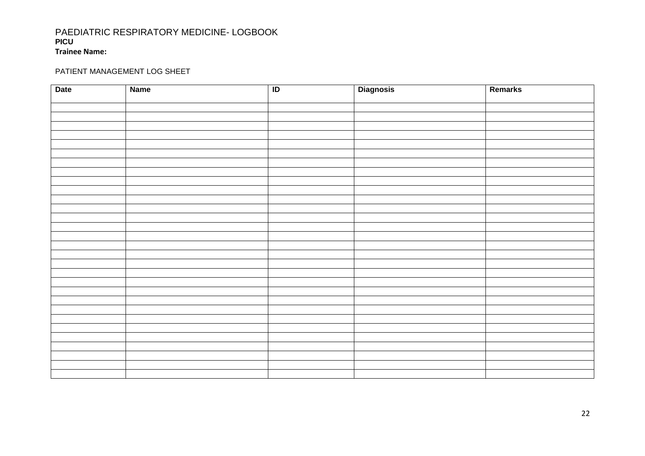### PAEDIATRIC RESPIRATORY MEDICINE- LOGBOOK **PICU Trainee Name:**

## PATIENT MANAGEMENT LOG SHEET

| <b>Date</b> | <b>Name</b> | $\overline{1}$ | <b>Diagnosis</b> | Remarks |
|-------------|-------------|----------------|------------------|---------|
|             |             |                |                  |         |
|             |             |                |                  |         |
|             |             |                |                  |         |
|             |             |                |                  |         |
|             |             |                |                  |         |
|             |             |                |                  |         |
|             |             |                |                  |         |
|             |             |                |                  |         |
|             |             |                |                  |         |
|             |             |                |                  |         |
|             |             |                |                  |         |
|             |             |                |                  |         |
|             |             |                |                  |         |
|             |             |                |                  |         |
|             |             |                |                  |         |
|             |             |                |                  |         |
|             |             |                |                  |         |
|             |             |                |                  |         |
|             |             |                |                  |         |
|             |             |                |                  |         |
|             |             |                |                  |         |
|             |             |                |                  |         |
|             |             |                |                  |         |
|             |             |                |                  |         |
|             |             |                |                  |         |
|             |             |                |                  |         |
|             |             |                |                  |         |
|             |             |                |                  |         |
|             |             |                |                  |         |
|             |             |                |                  |         |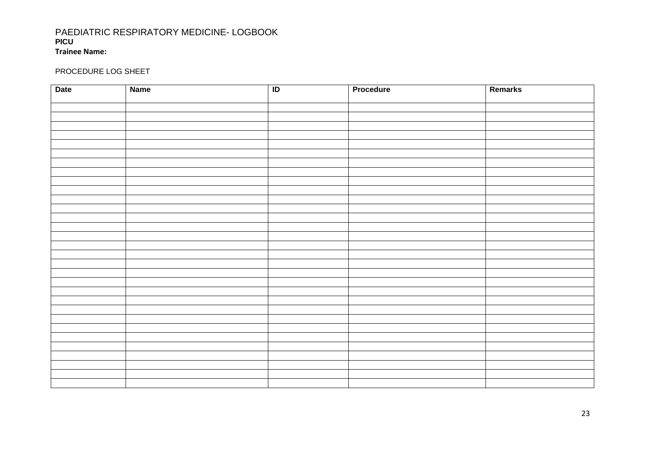### PAEDIATRIC RESPIRATORY MEDICINE- LOGBOOK **PICU Trainee Name:**

### PROCEDURE LOG SHEET

| <b>Date</b> | <b>Name</b> | $\overline{D}$ | Procedure | Remarks |
|-------------|-------------|----------------|-----------|---------|
|             |             |                |           |         |
|             |             |                |           |         |
|             |             |                |           |         |
|             |             |                |           |         |
|             |             |                |           |         |
|             |             |                |           |         |
|             |             |                |           |         |
|             |             |                |           |         |
|             |             |                |           |         |
|             |             |                |           |         |
|             |             |                |           |         |
|             |             |                |           |         |
|             |             |                |           |         |
|             |             |                |           |         |
|             |             |                |           |         |
|             |             |                |           |         |
|             |             |                |           |         |
|             |             |                |           |         |
|             |             |                |           |         |
|             |             |                |           |         |
|             |             |                |           |         |
|             |             |                |           |         |
|             |             |                |           |         |
|             |             |                |           |         |
|             |             |                |           |         |
|             |             |                |           |         |
|             |             |                |           |         |
|             |             |                |           |         |
|             |             |                |           |         |
|             |             |                |           |         |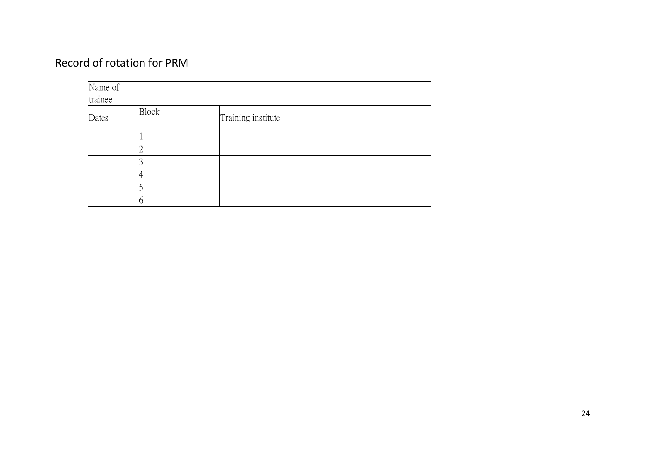# Record of rotation for PRM

| Name of |              |                    |  |  |
|---------|--------------|--------------------|--|--|
| trainee |              |                    |  |  |
| Dates   | <b>Block</b> | Training institute |  |  |
|         |              |                    |  |  |
|         |              |                    |  |  |
|         |              |                    |  |  |
|         |              |                    |  |  |
|         |              |                    |  |  |
|         |              |                    |  |  |